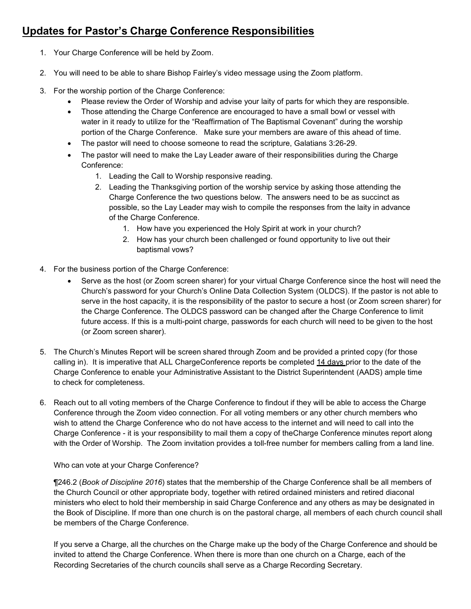## **Updates for Pastor's Charge Conference Responsibilities**

- 1. Your Charge Conference will be held by Zoom.
- 2. You will need to be able to share Bishop Fairley's video message using the Zoom platform.
- 3. For the worship portion of the Charge Conference:
	- Please review the Order of Worship and advise your laity of parts for which they are responsible.
	- Those attending the Charge Conference are encouraged to have a small bowl or vessel with water in it ready to utilize for the "Reaffirmation of The Baptismal Covenant" during the worship portion of the Charge Conference. Make sure your members are aware of this ahead of time.
	- The pastor will need to choose someone to read the scripture, Galatians 3:26-29.
	- The pastor will need to make the Lay Leader aware of their responsibilities during the Charge Conference:
		- 1. Leading the Call to Worship responsive reading.
		- 2. Leading the Thanksgiving portion of the worship service by asking those attending the Charge Conference the two questions below. The answers need to be as succinct as possible, so the Lay Leader may wish to compile the responses from the laity in advance of the Charge Conference.
			- 1. How have you experienced the Holy Spirit at work in your church?
			- 2. How has your church been challenged or found opportunity to live out their baptismal vows?
- 4. For the business portion of the Charge Conference:
	- Serve as the host (or Zoom screen sharer) for your virtual Charge Conference since the host will need the Church's password for your Church's Online Data Collection System (OLDCS). If the pastor is not able to serve in the host capacity, it is the responsibility of the pastor to secure a host (or Zoom screen sharer) for the Charge Conference. The OLDCS password can be changed after the Charge Conference to limit future access. If this is a multi-point charge, passwords for each church will need to be given to the host (or Zoom screen sharer).
- 5. The Church's Minutes Report will be screen shared through Zoom and be provided a printed copy (for those calling in). It is imperative that ALL ChargeConference reports be completed 14 days prior to the date of the Charge Conference to enable your Administrative Assistant to the District Superintendent (AADS) ample time to check for completeness.
- 6. Reach out to all voting members of the Charge Conference to findout if they will be able to access the Charge Conference through the Zoom video connection. For all voting members or any other church members who wish to attend the Charge Conference who do not have access to the internet and will need to call into the Charge Conference - it is your responsibility to mail them a copy of theCharge Conference minutes report along with the Order of Worship. The Zoom invitation provides a toll-free number for members calling from a land line.

Who can vote at your Charge Conference?

¶246.2 (*Book of Discipline 2016*) states that the membership of the Charge Conference shall be all members of the Church Council or other appropriate body, together with retired ordained ministers and retired diaconal ministers who elect to hold their membership in said Charge Conference and any others as may be designated in the Book of Discipline. If more than one church is on the pastoral charge, all members of each church council shall be members of the Charge Conference.

If you serve a Charge, all the churches on the Charge make up the body of the Charge Conference and should be invited to attend the Charge Conference. When there is more than one church on a Charge, each of the Recording Secretaries of the church councils shall serve as a Charge Recording Secretary.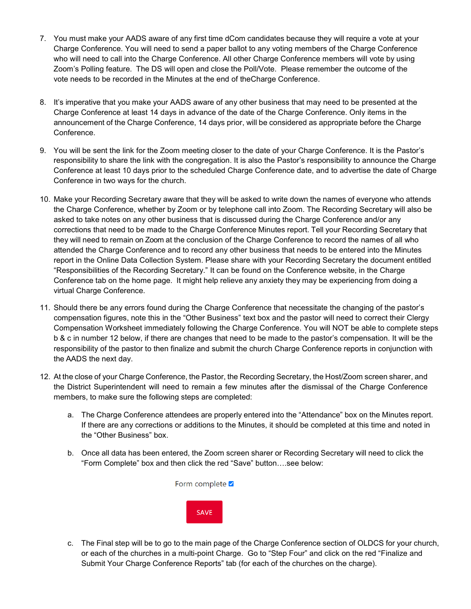- 7. You must make your AADS aware of any first time dCom candidates because they will require a vote at your Charge Conference. You will need to send a paper ballot to any voting members of the Charge Conference who will need to call into the Charge Conference. All other Charge Conference members will vote by using Zoom's Polling feature. The DS will open and close the Poll/Vote. Please remember the outcome of the vote needs to be recorded in the Minutes at the end of theCharge Conference.
- 8. It's imperative that you make your AADS aware of any other business that may need to be presented at the Charge Conference at least 14 days in advance of the date of the Charge Conference. Only items in the announcement of the Charge Conference, 14 days prior, will be considered as appropriate before the Charge Conference.
- 9. You will be sent the link for the Zoom meeting closer to the date of your Charge Conference. It is the Pastor's responsibility to share the link with the congregation. It is also the Pastor's responsibility to announce the Charge Conference at least 10 days prior to the scheduled Charge Conference date, and to advertise the date of Charge Conference in two ways for the church.
- 10. Make your Recording Secretary aware that they will be asked to write down the names of everyone who attends the Charge Conference, whether by Zoom or by telephone call into Zoom. The Recording Secretary will also be asked to take notes on any other business that is discussed during the Charge Conference and/or any corrections that need to be made to the Charge Conference Minutes report. Tell your Recording Secretary that they will need to remain on Zoom at the conclusion of the Charge Conference to record the names of all who attended the Charge Conference and to record any other business that needs to be entered into the Minutes report in the Online Data Collection System. Please share with your Recording Secretary the document entitled "Responsibilities of the Recording Secretary." It can be found on the Conference website, in the Charge Conference tab on the home page. It might help relieve any anxiety they may be experiencing from doing a virtual Charge Conference.
- 11. Should there be any errors found during the Charge Conference that necessitate the changing of the pastor's compensation figures, note this in the "Other Business" text box and the pastor will need to correct their Clergy Compensation Worksheet immediately following the Charge Conference. You will NOT be able to complete steps b & c in number 12 below, if there are changes that need to be made to the pastor's compensation. It will be the responsibility of the pastor to then finalize and submit the church Charge Conference reports in conjunction with the AADS the next day.
- 12. At the close of your Charge Conference, the Pastor, the Recording Secretary, the Host/Zoom screen sharer, and the District Superintendent will need to remain a few minutes after the dismissal of the Charge Conference members, to make sure the following steps are completed:
	- a. The Charge Conference attendees are properly entered into the "Attendance" box on the Minutes report. If there are any corrections or additions to the Minutes, it should be completed at this time and noted in the "Other Business" box.
	- b. Once all data has been entered, the Zoom screen sharer or Recording Secretary will need to click the "Form Complete" box and then click the red "Save" button….see below:



c. The Final step will be to go to the main page of the Charge Conference section of OLDCS for your church, or each of the churches in a multi-point Charge. Go to "Step Four" and click on the red "Finalize and Submit Your Charge Conference Reports" tab (for each of the churches on the charge).